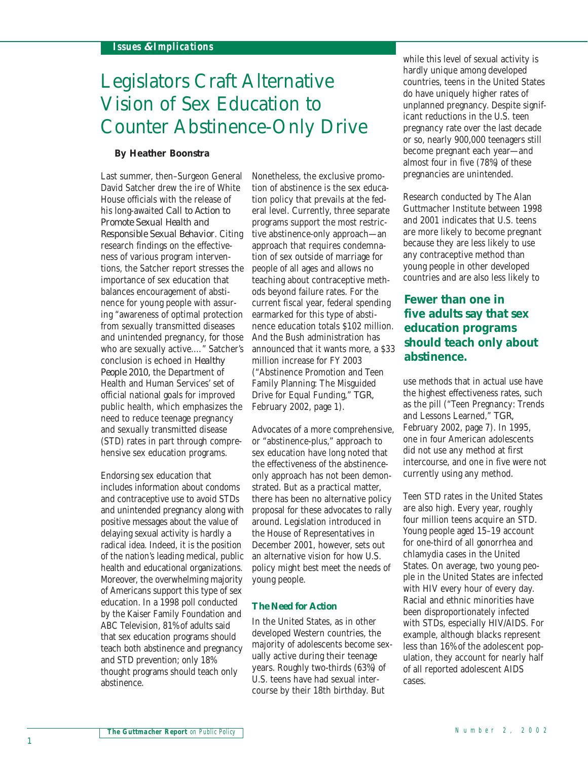# Legislators Craft Alternative Vision of Sex Education to Counter Abstinence-Only Drive

#### **By Heather Boonstra**

Last summer, then–Surgeon General David Satcher drew the ire of White House officials with the release of his long-awaited *Call to Action to Promote Sexual Health and Responsible Sexual Behavior*. Citing research findings on the effectiveness of various program interventions, the Satcher report stresses the importance of sex education that balances encouragement of abstinence for young people with assuring "awareness of optimal protection from sexually transmitted diseases and unintended pregnancy, for those who are sexually active.…" Satcher's conclusion is echoed in *Healthy People 2010,* the Department of Health and Human Services' set of official national goals for improved public health, which emphasizes the need to reduce teenage pregnancy and sexually transmitted disease (STD) rates in part through comprehensive sex education programs.

Endorsing sex education that includes information about condoms and contraceptive use to avoid STDs and unintended pregnancy along with positive messages about the value of delaying sexual activity is hardly a radical idea. Indeed, it is the position of the nation's leading medical, public health and educational organizations. Moreover, the overwhelming majority of Americans support this type of sex education. In a 1998 poll conducted by the Kaiser Family Foundation and ABC Television, 81% of adults said that sex education programs should teach both abstinence and pregnancy and STD prevention; only 18% thought programs should teach only abstinence.

Nonetheless, the exclusive promotion of abstinence is the sex education policy that prevails at the federal level. Currently, three separate programs support the most restrictive abstinence-only approach—an approach that requires condemnation of sex outside of marriage for people of all ages and allows no teaching about contraceptive methods beyond failure rates. For the current fiscal year, federal spending earmarked for this type of abstinence education totals \$102 million. And the Bush administration has announced that it wants more, a \$33 million increase for FY 2003 ("Abstinence Promotion and Teen Family Planning: The Misguided Drive for Equal Funding," *TGR,* February 2002, page 1).

Advocates of a more comprehensive, or "abstinence-plus," approach to sex education have long noted that the effectiveness of the abstinenceonly approach has not been demonstrated. But as a practical matter, there has been no alternative policy proposal for these advocates to rally around. Legislation introduced in the House of Representatives in December 2001, however, sets out an alternative vision for how U.S. policy might best meet the needs of young people.

### **The Need for Action**

In the United States, as in other developed Western countries, the majority of adolescents become sexually active during their teenage years. Roughly two-thirds (63%) of U.S. teens have had sexual intercourse by their 18th birthday. But

while this level of sexual activity is hardly unique among developed countries, teens in the United States do have uniquely higher rates of unplanned pregnancy. Despite significant reductions in the U.S. teen pregnancy rate over the last decade or so, nearly 900,000 teenagers still become pregnant each year—and almost four in five (78%) of these pregnancies are unintended.

Research conducted by The Alan Guttmacher Institute between 1998 and 2001 indicates that U.S. teens are more likely to become pregnant because they are less likely to use any contraceptive method than young people in other developed countries and are also less likely to

# **Fewer than one in five adults say that sex education programs should teach only about abstinence.**

use methods that in actual use have the highest effectiveness rates, such as the pill ("Teen Pregnancy: Trends and Lessons Learned," *TGR,* February 2002, page 7). In 1995, one in four American adolescents did not use any method at first intercourse, and one in five were not currently using any method.

Teen STD rates in the United States are also high. Every year, roughly four million teens acquire an STD. Young people aged 15–19 account for one-third of all gonorrhea and chlamydia cases in the United States. On average, two young people in the United States are infected with HIV every hour of every day. Racial and ethnic minorities have been disproportionately infected with STDs, especially HIV/AIDS. For example, although blacks represent less than 16% of the adolescent population, they account for nearly half of all reported adolescent AIDS cases.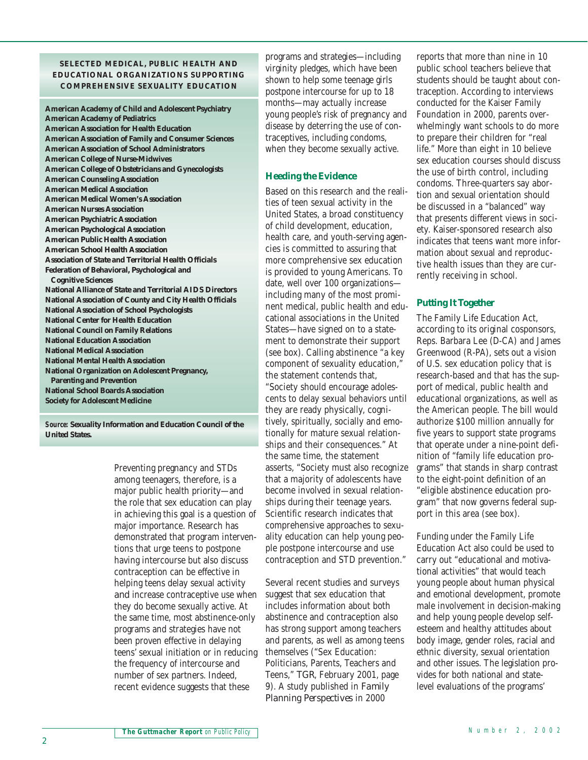#### **SELECTED MEDICAL, PUBLIC HEALTH AND EDUCATIONAL ORGANIZATIONS SUPPORTING COMPREHENSIVE SEXUALITY EDUCATION**

**American Academy of Child and Adolescent Psychiatry American Academy of Pediatrics American Association for Health Education American Association of Family and Consumer Sciences American Association of School Administrators American College of Nurse-Midwives American College of Obstetricians and Gynecologists American Counseling Association American Medical Association American Medical Women's Association American Nurses Association American Psychiatric Association American Psychological Association American Public Health Association American School Health Association Association of State and Territorial Health Officials Federation of Behavioral, Psychological and Cognitive Sciences National Alliance of State and Territorial AIDS Directors National Association of County and City Health Officials National Association of School Psychologists National Center for Health Education National Council on Family Relations National Education Association National Medical Association National Mental Health Association National Organization on Adolescent Pregnancy, Parenting and Prevention National School Boards Association Society for Adolescent Medicine**

*Source:* **Sexuality Information and Education Council of the United States.**

> Preventing pregnancy and STDs among teenagers, therefore, is a major public health priority—and the role that sex education can play in achieving this goal is a question of major importance. Research has demonstrated that program interventions that urge teens to postpone having intercourse but also discuss contraception can be effective in helping teens delay sexual activity *and* increase contraceptive use when they do become sexually active. At the same time, most abstinence-only programs and strategies have not been proven effective in delaying teens' sexual initiation or in reducing the frequency of intercourse and number of sex partners. Indeed, recent evidence suggests that these

programs and strategies—including virginity pledges, which have been shown to help some teenage girls postpone intercourse for up to 18 months—may actually increase young people's risk of pregnancy and disease by deterring the use of contraceptives, including condoms, when they become sexually active.

# **Heeding the Evidence**

Based on this research and the realities of teen sexual activity in the United States, a broad constituency of child development, education, health care, and youth-serving agencies is committed to assuring that more comprehensive sex education is provided to young Americans. To date, well over 100 organizations including many of the most prominent medical, public health and educational associations in the United States—have signed on to a statement to demonstrate their support (see box). Calling abstinence "a key component of sexuality education, the statement contends that, "Society should encourage adolescents to delay sexual behaviors until they are ready physically, cognitively, spiritually, socially and emotionally for mature sexual relationships and their consequences." At the same time, the statement asserts, "Society must also recognize that a majority of adolescents have become involved in sexual relationships during their teenage years. Scientific research indicates that comprehensive approaches to sexuality education can help young people postpone intercourse and use contraception and STD prevention."

Several recent studies and surveys suggest that sex education that includes information about both abstinence and contraception also has strong support among teachers and parents, as well as among teens themselves ("Sex Education: Politicians, Parents, Teachers and Teens," *TGR*, February 2001, page 9). A study published in *Family Planning Perspectives* in 2000

reports that more than nine in 10 public school teachers believe that students should be taught about contraception. According to interviews conducted for the Kaiser Family Foundation in 2000, parents overwhelmingly want schools to do more to prepare their children for "real life." More than eight in 10 believe sex education courses should discuss the use of birth control, including condoms. Three-quarters say abortion and sexual orientation should be discussed in a "balanced" way that presents different views in society. Kaiser-sponsored research also indicates that teens want more information about sexual and reproductive health issues than they are currently receiving in school.

# **Putting It Together**

The Family Life Education Act, according to its original cosponsors, Reps. Barbara Lee (D-CA) and James Greenwood (R-PA), sets out a vision of U.S. sex education policy that is research-based and that has the support of medical, public health and educational organizations, as well as the American people. The bill would authorize \$100 million annually for five years to support state programs that operate under a nine-point definition of "family life education programs" that stands in sharp contrast to the eight-point definition of an "eligible abstinence education program" that now governs federal support in this area (see box).

Funding under the Family Life Education Act also could be used to carry out "educational and motivational activities" that would teach young people about human physical and emotional development, promote male involvement in decision-making and help young people develop selfesteem and healthy attitudes about body image, gender roles, racial and ethnic diversity, sexual orientation and other issues. The legislation provides for both national and statelevel evaluations of the programs'